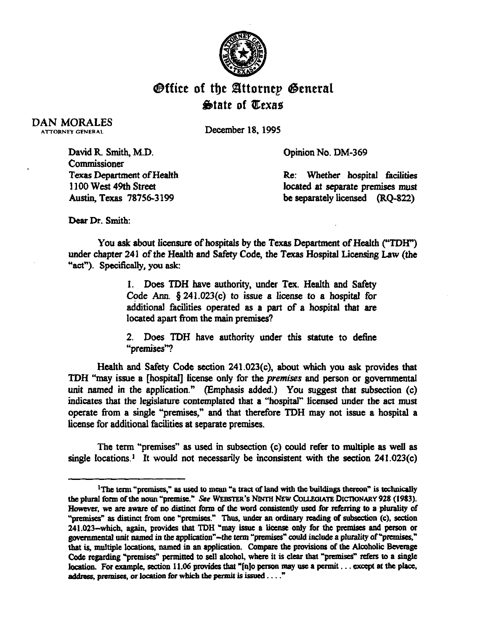

## **Office of the Attornep General State of Texas**

DAN MORALES **ATTORNEY GENERAL** 

December 18, 1995

Opinion No. DM-369

David R. Smith, M.D. **Commissioner** Texas Department of Health 1100 West 49th Street Austin, Texas 78756-3199

Re: Whether hospital facilities located at separate premises must be separately licensed (RQ-822)

Dear Dr. Smith:

You ask about licensure of hospitals by the Texas Department of Health ("TDH") under chapter 241 of the Health and Safety Code, the Texas Hospital Licensing Law (the "act"). Specifically, you ask:

> 1. Does TDH have authority, under Tex. Health and Safety Code Ann.  $§ 241.023(c)$  to issue a license to a hospital for additional facilities operated as a part of a hospital that are located apart from the main premises?

> 2. Does TDH have authority under this statute to define "premises"?

Health and Safety Code section 241.023(c), about which you ask provides that TDH "may issue a [hospital] ticense only for the *premises* and person or govemmental unit named in the application." (Emphasis added.) You suggest that subsection (c) indicates that the legislature contemplated that a "hospital" licensed under the act must operate from a single "premises," and that therefore TDH may not issue a hospital a license for additional facilities at separate premises.

The term "premises" as used in subsection (c) could refer to multiple as well as single locations.<sup> $1$ </sup> It would not necessarily be inconsistent with the section 241.023(c)

<sup>&</sup>lt;sup>1</sup>The term "premises," as used to mean "a tract of land with the buildings thereon" is technically the plural form of the noun "premise." See WEBSTER's NINTH NEW COLLEGIATE DICTIONARY 928 (1983). However, we are aware of no distinct form of the word consistently used for referring to a plurality of "premises" as distinct from one "premises." Thus, under an ordinary reading of subsection (c), section 241.023-which, again, provides that TDH "may issue a license only for the premises and person or governmental unit named in the application"-the term "premises" could include a plurality of "premises," that is, multiple locations, named in an application. Compare the provisions of the Alcoholic Beverage Code regarding "premises" permitted to sell alcohol, where it is clear that "premises" refers to a single location. For example, section 11.06 provides that "[n]o person may use a permit... except at the place, address, premises, or location for which the permit is issued . . . . "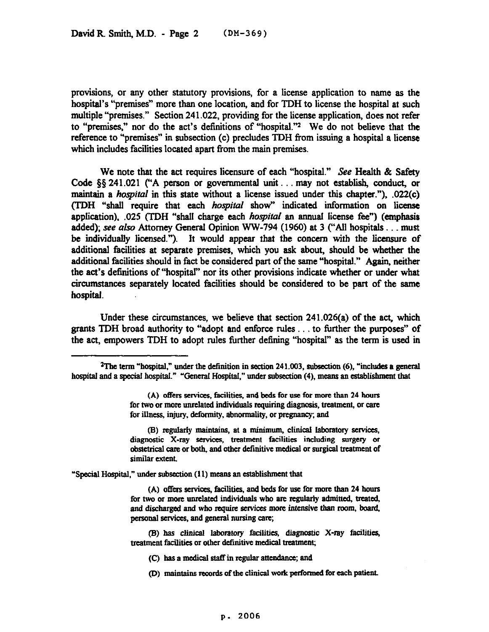provisions, or any other statutory provisions, for a license application to name as the hospital's "premises" more than one location, and for TDH to license the hospital at such multiple "premises." Section 241.022, providing for the license application, does not refer to "premises," nor do the act's definitions of "hospital."<sup>2</sup> We do not believe that the reference to "premises" in subsection (c) precludes TDH from issuing a hospital a license which includes facilities located apart from the main premises.

We note that the act requires licensure of each "hospital." See Health & Safety Code  $\S$ § 241.021 ("A person or governmental unit... may not establish, conduct, or maintain a *hospital* in this state without a license issued under this chapter."), .022(c) (TDH "shall require that each *hospital* show" indicated information on license application), .025 (TDH "shal1 charge each *hospifizf an annual* license fee") (emphasis added); see also Attorney General Opinion WW-794 (1960) at 3 ("All hospitals... must be individually licensed."). It would appear that the concern with the licensure of additional facilities at separate premises, which you ask about, should be whether the additional facilities should in fact be considered part of the same "hospital." Again, neither the act's definitions of "hospital" nor its other provisions indicate whether or under what circumstances separately located facilities should be considered to be part of the same hospital.

Under these circumstances, we believe that section  $241.026(a)$  of the act, which grants TDH broad authority to "adopt and enforce rules... to further the purposes" of the act, empowers TDH to adopt rules further defining "hospital" as the term is used in

(B) regularly maintains, at a minimum, clinical laboratory services, diagnostic X-ray services, treatment facilities including surgery or **obstetrical care or both, and other definitive medical or surgical treatment of similar extcot.** 

"Special Hospital," under subsection (11) means an establishment that

(A) offers services, facilities, and beds for use for more than 24 hours **for two or more muelated individoals who are regularly admitted, treated,**  and discharged and who require services more intensive than room, board, personal services, and general nursing care;

**(9) has clinical laboratory facilities, diagnostic X-ray facilities,**  treatment facilities or other definitive medical treatment;

- **(C)** has a medical staff in regular attendance; and
- **(D)** maintains records of the clinical work performed for each patient.

<sup>&</sup>lt;sup>2</sup>The term "hospital," under the definition in section 241.003, subsection (6), "includes a general hospital and a special hospital." "General Hospital," under subsection (4), means an establishment that

**<sup>(</sup>A) offers services, facilities. and beds for use for more than 24 hours for two or more unrelated individuals requiring diagnosis, treatment, or care for illness, injury, deformity, abnormality, or pregnancy; aad**